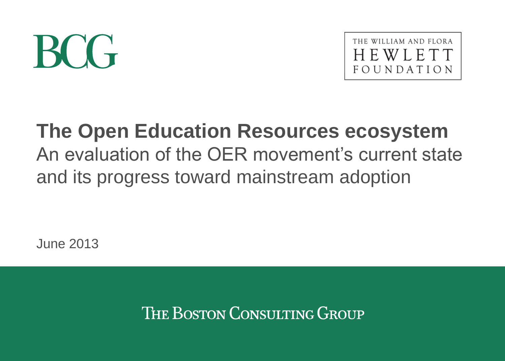# BCG



# **The Open Education Resources ecosystem** An evaluation of the OER movement's current state and its progress toward mainstream adoption

June 2013

THE BOSTON CONSULTING GROUP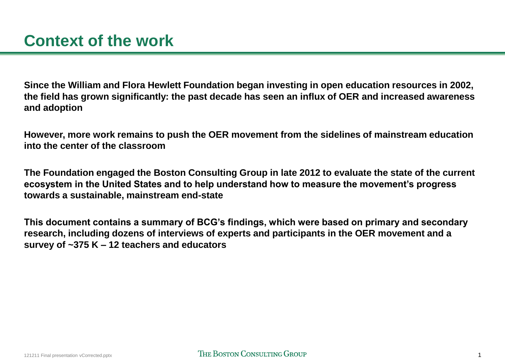**Since the William and Flora Hewlett Foundation began investing in open education resources in 2002, the field has grown significantly: the past decade has seen an influx of OER and increased awareness and adoption**

**However, more work remains to push the OER movement from the sidelines of mainstream education into the center of the classroom**

**The Foundation engaged the Boston Consulting Group in late 2012 to evaluate the state of the current ecosystem in the United States and to help understand how to measure the movement's progress towards a sustainable, mainstream end-state**

**This document contains a summary of BCG's findings, which were based on primary and secondary research, including dozens of interviews of experts and participants in the OER movement and a survey of ~375 K – 12 teachers and educators**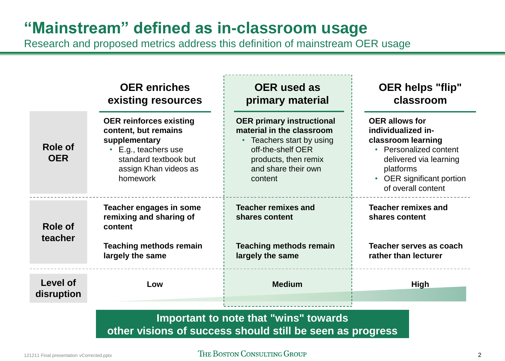# **"Mainstream" defined as in-classroom usage**

Research and proposed metrics address this definition of mainstream OER usage

|                               | <b>OER</b> enriches<br>existing resources                                                                                                                   | <b>OER</b> used as<br>primary material                                                                                                                                    | <b>OER helps "flip"</b><br>classroom                                                                                                                                                  |
|-------------------------------|-------------------------------------------------------------------------------------------------------------------------------------------------------------|---------------------------------------------------------------------------------------------------------------------------------------------------------------------------|---------------------------------------------------------------------------------------------------------------------------------------------------------------------------------------|
| Role of<br><b>OER</b>         | <b>OER reinforces existing</b><br>content, but remains<br>supplementary<br>E.g., teachers use<br>standard textbook but<br>assign Khan videos as<br>homework | <b>OER primary instructional</b><br>material in the classroom<br>• Teachers start by using<br>off-the-shelf OER<br>products, then remix<br>and share their own<br>content | <b>OER allows for</b><br>individualized in-<br>classroom learning<br>• Personalized content<br>delivered via learning<br>platforms<br>• OER significant portion<br>of overall content |
| <b>Role of</b><br>teacher     | Teacher engages in some<br>remixing and sharing of<br>content                                                                                               | <b>Teacher remixes and</b><br>shares content                                                                                                                              | <b>Teacher remixes and</b><br>shares content                                                                                                                                          |
|                               | <b>Teaching methods remain</b><br>largely the same                                                                                                          | <b>Teaching methods remain</b><br>largely the same                                                                                                                        | Teacher serves as coach<br>rather than lecturer                                                                                                                                       |
| <b>Level of</b><br>disruption | Low                                                                                                                                                         | <b>Medium</b>                                                                                                                                                             | <b>High</b>                                                                                                                                                                           |
|                               |                                                                                                                                                             |                                                                                                                                                                           |                                                                                                                                                                                       |

# **Important to note that "wins" towards other visions of success should still be seen as progress**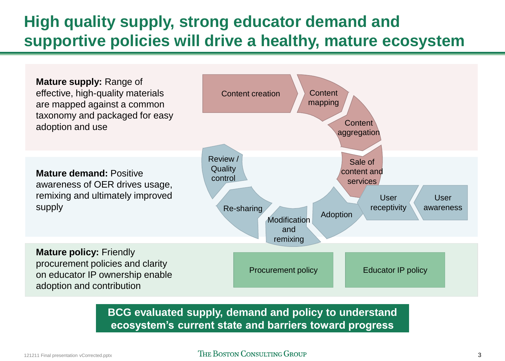# **High quality supply, strong educator demand and supportive policies will drive a healthy, mature ecosystem**



**BCG evaluated supply, demand and policy to understand ecosystem's current state and barriers toward progress**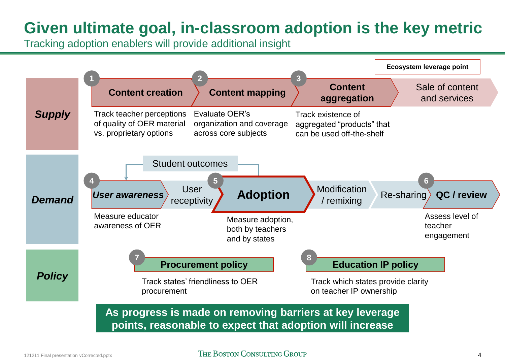# **Given ultimate goal, in-classroom adoption is the key metric**

Tracking adoption enablers will provide additional insight

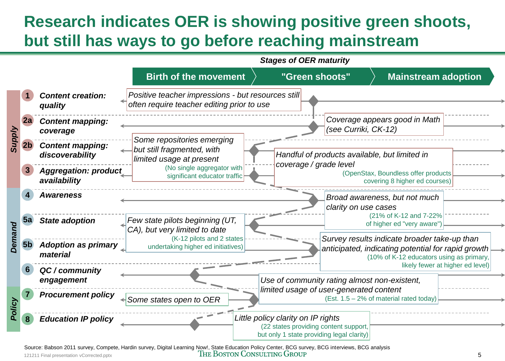# **Research indicates OER is showing positive green shoots, but still has ways to go before reaching mainstream**



121211 Final presentation vCorrected.pptx **5** THE BOSTON CONSULTING GROUP 5 Source: Babson 2011 survey, Compete, Hardin survey, Digital Learning Now!, State Education Policy Center, BCG survey, BCG interviews, BCG analysis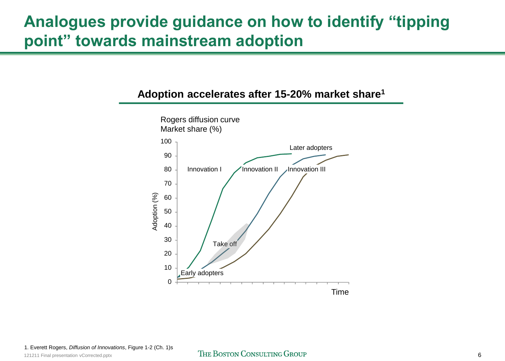# **Analogues provide guidance on how to identify "tipping point" towards mainstream adoption**

### **Adoption accelerates after 15-20% market share<sup>1</sup>**

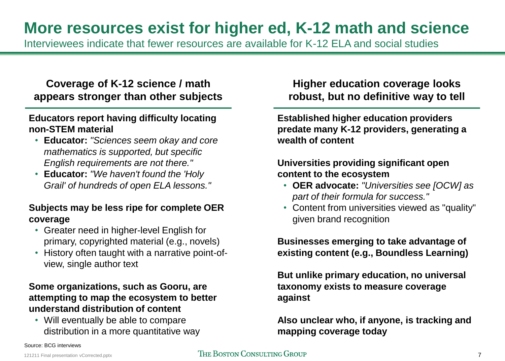# **More resources exist for higher ed, K-12 math and science**

Interviewees indicate that fewer resources are available for K-12 ELA and social studies

# **Coverage of K-12 science / math appears stronger than other subjects**

### **Educators report having difficulty locating non-STEM material**

- **Educator:** *"Sciences seem okay and core mathematics is supported, but specific English requirements are not there."*
- **Educator:** *"We haven't found the 'Holy Grail' of hundreds of open ELA lessons."*

### **Subjects may be less ripe for complete OER coverage**

- Greater need in higher-level English for primary, copyrighted material (e.g., novels)
- History often taught with a narrative point-ofview, single author text

### **Some organizations, such as Gooru, are attempting to map the ecosystem to better understand distribution of content**

• Will eventually be able to compare distribution in a more quantitative way

**Higher education coverage looks robust, but no definitive way to tell**

**Established higher education providers predate many K-12 providers, generating a wealth of content**

### **Universities providing significant open content to the ecosystem**

- **OER advocate:** *"Universities see [OCW] as part of their formula for success."*
- Content from universities viewed as "quality" given brand recognition

**Businesses emerging to take advantage of existing content (e.g., Boundless Learning)**

**But unlike primary education, no universal taxonomy exists to measure coverage against**

**Also unclear who, if anyone, is tracking and mapping coverage today**

Source: BCG interviews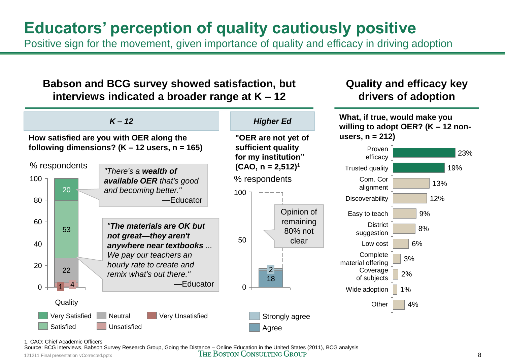# **Educators' perception of quality cautiously positive**

Positive sign for the movement, given importance of quality and efficacy in driving adoption

# **Babson and BCG survey showed satisfaction, but interviews indicated a broader range at K – 12**



1. CAO: Chief Academic Officers

121211 Final presentation vCorrected.pptx **8 THE BOSTON CONSULTING GROUP** 8 Source: BCG interviews, Babson Survey Research Group, Going the Distance – Online Education in the United States (2011), BCG analysis

**Quality and efficacy key drivers of adoption**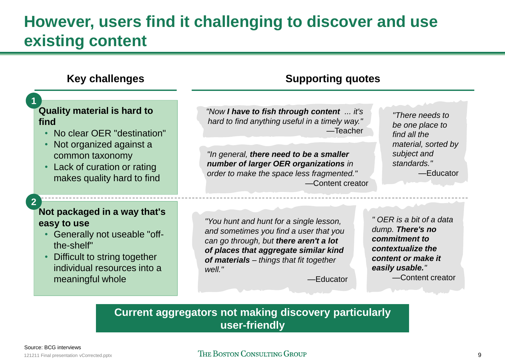# **However, users find it challenging to discover and use existing content**

#### *"There needs to be one place to find all the material, sorted by subject and standards."* —Educator *"Now I have to fish through content ... it's hard to find anything useful in a timely way."*  —Teacher *"In general, there need to be a smaller number of larger OER organizations in order to make the space less fragmented."* —Content creator *"You hunt and hunt for a single lesson, and sometimes you find a user that you can go through, but there aren't a lot of places that aggregate similar kind of materials – things that fit together well."* —Educator **Key challenges Quality material is hard to find** • No clear OER "destination" • Not organized against a common taxonomy • Lack of curation or rating makes quality hard to find **Not packaged in a way that's easy to use** • Generally not useable "offthe-shelf" • Difficult to string together individual resources into a meaningful whole **1 2 Supporting quotes** *" OER is a bit of a data dump. There's no commitment to contextualize the content or make it easily usable."* —Content creator

### **Current aggregators not making discovery particularly user-friendly**

### 121211 Final presentation vCorrected.pptx **9**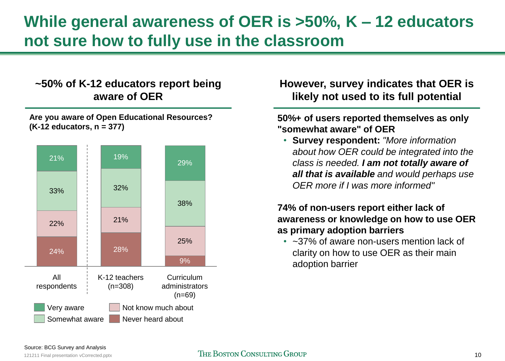# **While general awareness of OER is >50%, K – 12 educators not sure how to fully use in the classroom**

# **~50% of K-12 educators report being aware of OER**





# **However, survey indicates that OER is likely not used to its full potential**

### **50%+ of users reported themselves as only "somewhat aware" of OER**

• **Survey respondent:** *"More information about how OER could be integrated into the class is needed. I am not totally aware of all that is available and would perhaps use OER more if I was more informed"* 

### **74% of non-users report either lack of awareness or knowledge on how to use OER as primary adoption barriers**

• ~37% of aware non-users mention lack of clarity on how to use OER as their main adoption barrier

#### Source: BCG Survey and Analysis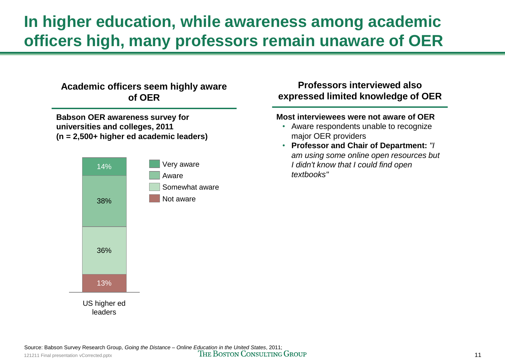# **In higher education, while awareness among academic officers high, many professors remain unaware of OER**

### **Academic officers seem highly aware of OER**

**Babson OER awareness survey for universities and colleges, 2011 (n = 2,500+ higher ed academic leaders)**



### **Professors interviewed also expressed limited knowledge of OER**

#### **Most interviewees were not aware of OER**

- Aware respondents unable to recognize major OER providers
- **Professor and Chair of Department:** *"I am using some online open resources but I didn't know that I could find open textbooks"*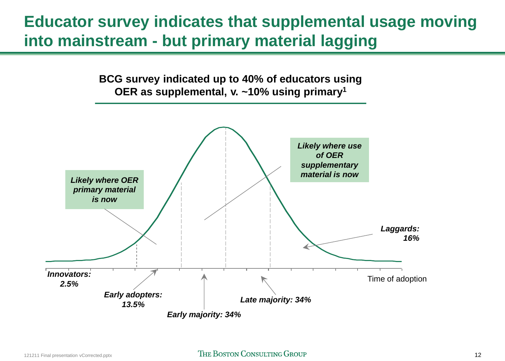# **Educator survey indicates that supplemental usage moving into mainstream - but primary material lagging**

**BCG survey indicated up to 40% of educators using OER as supplemental, v. ~10% using primary<sup>1</sup>**

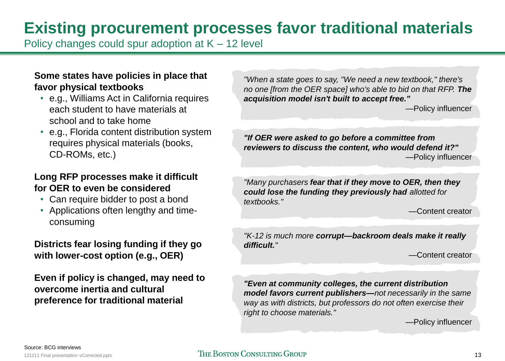# **Existing procurement processes favor traditional materials**

Policy changes could spur adoption at  $K - 12$  level

### **Some states have policies in place that favor physical textbooks**

- e.g., Williams Act in California requires each student to have materials at school and to take home
- e.g., Florida content distribution system requires physical materials (books, CD-ROMs, etc.)

### **Long RFP processes make it difficult for OER to even be considered**

- Can require bidder to post a bond
- Applications often lengthy and timeconsuming

### **Districts fear losing funding if they go with lower-cost option (e.g., OER)**

**Even if policy is changed, may need to overcome inertia and cultural preference for traditional material**

*"When a state goes to say, "We need a new textbook," there's no one [from the OER space] who's able to bid on that RFP. The acquisition model isn't built to accept free."*

—Policy influencer

*"If OER were asked to go before a committee from reviewers to discuss the content, who would defend it?"* —Policy influencer

*"Many purchasers fear that if they move to OER, then they could lose the funding they previously had allotted for textbooks."*

—Content creator

*"K-12 is much more corrupt—backroom deals make it really difficult."*

—Content creator

*"Even at community colleges, the current distribution model favors current publishers—not necessarily in the same way as with districts, but professors do not often exercise their right to choose materials."*

—Policy influencer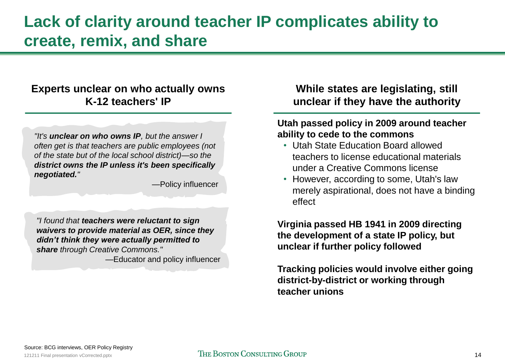# **Lack of clarity around teacher IP complicates ability to create, remix, and share**

## **Experts unclear on who actually owns K-12 teachers' IP**

*"It's unclear on who owns IP, but the answer I often get is that teachers are public employees (not of the state but of the local school district)—so the district owns the IP unless it's been specifically negotiated."*

*—*Policy influencer

*"I found that teachers were reluctant to sign waivers to provide material as OER, since they didn't think they were actually permitted to share through Creative Commons."*

*—*Educator and policy influencer

# **While states are legislating, still unclear if they have the authority**

### **Utah passed policy in 2009 around teacher ability to cede to the commons**

- Utah State Education Board allowed teachers to license educational materials under a Creative Commons license
- However, according to some, Utah's law merely aspirational, does not have a binding effect

**Virginia passed HB 1941 in 2009 directing the development of a state IP policy, but unclear if further policy followed**

**Tracking policies would involve either going district-by-district or working through teacher unions**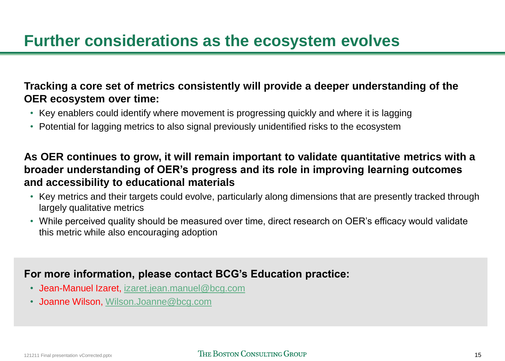# **Further considerations as the ecosystem evolves**

# **Tracking a core set of metrics consistently will provide a deeper understanding of the OER ecosystem over time:**

- Key enablers could identify where movement is progressing quickly and where it is lagging
- Potential for lagging metrics to also signal previously unidentified risks to the ecosystem

# **As OER continues to grow, it will remain important to validate quantitative metrics with a broader understanding of OER's progress and its role in improving learning outcomes and accessibility to educational materials**

- Key metrics and their targets could evolve, particularly along dimensions that are presently tracked through largely qualitative metrics
- While perceived quality should be measured over time, direct research on OER's efficacy would validate this metric while also encouraging adoption

# **For more information, please contact BCG's Education practice:**

- Jean-Manuel Izaret, [izaret.jean.manuel@bcg.com](mailto:izaret.jean.manuel@bcg.com)
- Joanne Wilson, [Wilson.Joanne@bcg.com](mailto:Wilson.Joanne@bcg.com)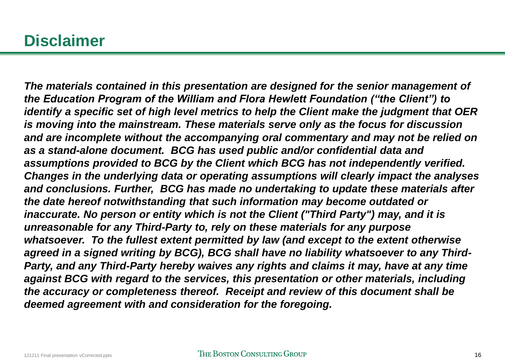# **Disclaimer**

*The materials contained in this presentation are designed for the senior management of the Education Program of the William and Flora Hewlett Foundation ("the Client") to identify a specific set of high level metrics to help the Client make the judgment that OER is moving into the mainstream. These materials serve only as the focus for discussion and are incomplete without the accompanying oral commentary and may not be relied on as a stand-alone document. BCG has used public and/or confidential data and assumptions provided to BCG by the Client which BCG has not independently verified. Changes in the underlying data or operating assumptions will clearly impact the analyses and conclusions. Further, BCG has made no undertaking to update these materials after the date hereof notwithstanding that such information may become outdated or inaccurate. No person or entity which is not the Client ("Third Party") may, and it is unreasonable for any Third-Party to, rely on these materials for any purpose whatsoever. To the fullest extent permitted by law (and except to the extent otherwise agreed in a signed writing by BCG), BCG shall have no liability whatsoever to any Third-Party, and any Third-Party hereby waives any rights and claims it may, have at any time against BCG with regard to the services, this presentation or other materials, including the accuracy or completeness thereof. Receipt and review of this document shall be deemed agreement with and consideration for the foregoing.*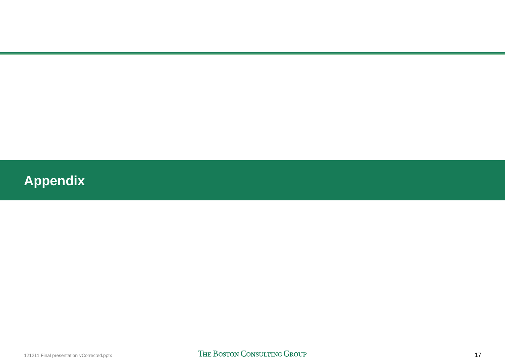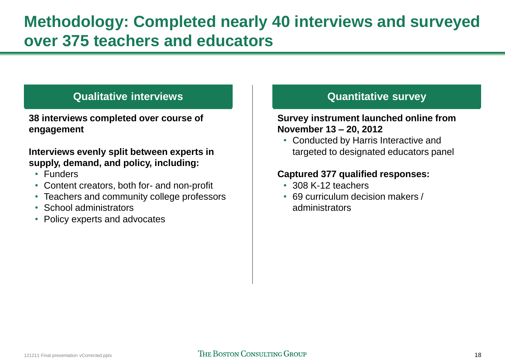# **Qualitative interviews**

**38 interviews completed over course of engagement**

### **Interviews evenly split between experts in supply, demand, and policy, including:**

- Funders
- Content creators, both for- and non-profit
- Teachers and community college professors
- School administrators
- Policy experts and advocates

# **Quantitative survey**

### **Survey instrument launched online from November 13 – 20, 2012**

• Conducted by Harris Interactive and targeted to designated educators panel

### **Captured 377 qualified responses:**

- 308 K-12 teachers
- 69 curriculum decision makers / administrators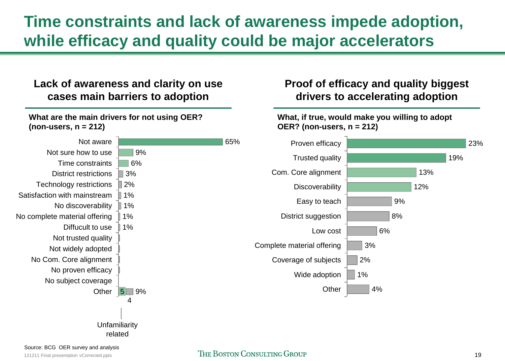# **Time constraints and lack of awareness impede adoption, while efficacy and quality could be major accelerators**

**Proof of efficacy and quality biggest drivers to accelerating adoption**

# **Lack of awareness and clarity on use cases main barriers to adoption**

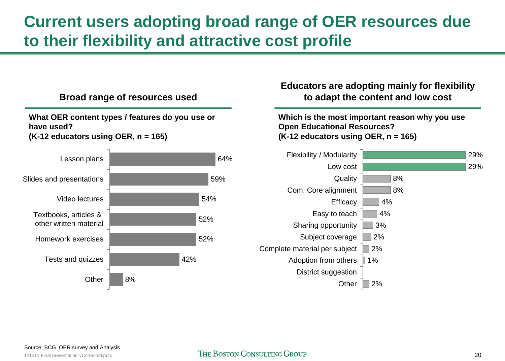# **Current users adopting broad range of OER resources due to their flexibility and attractive cost profile**



**Broad range of resources used**

### **Educators are adopting mainly for flexibility to adapt the content and low cost**

**Which is the most important reason why you use Open Educational Resources? (K-12 educators using OER, n = 165)**



#### Source: BCG OER survey and Analysis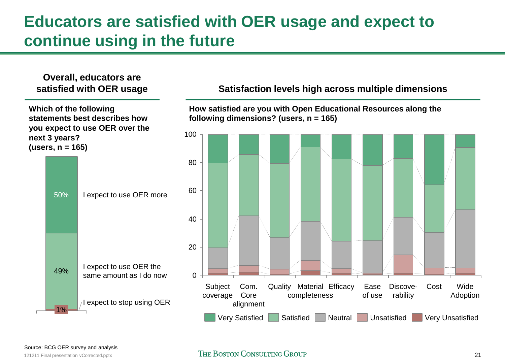# **Educators are satisfied with OER usage and expect to continue using in the future**

# **Overall, educators are**

**Which of the following statements best describes how you expect to use OER over the next 3 years? (users, n = 165)**



### **satisfied with OER usage Satisfaction levels high across multiple dimensions**

**How satisfied are you with Open Educational Resources along the following dimensions? (users, n = 165)**